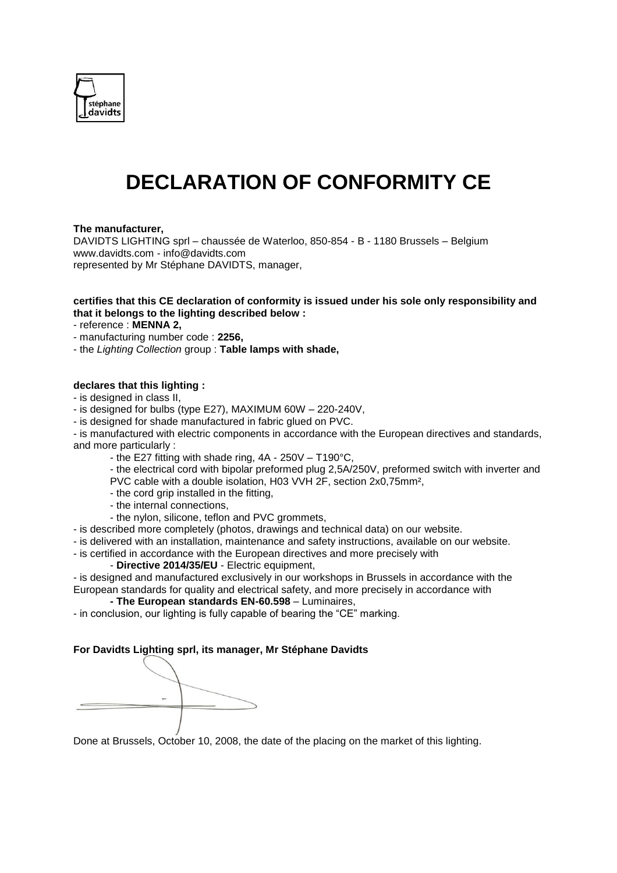

# **DECLARATION OF CONFORMITY CE**

#### **The manufacturer,**

DAVIDTS LIGHTING sprl – chaussée de Waterloo, 850-854 - B - 1180 Brussels – Belgium www.davidts.com - [info@davidts.com](mailto:info@davidts.com) represented by Mr Stéphane DAVIDTS, manager,

#### **certifies that this CE declaration of conformity is issued under his sole only responsibility and that it belongs to the lighting described below :**

- reference : **MENNA 2,**

- manufacturing number code : **2256,**
- the *Lighting Collection* group : **Table lamps with shade,**

#### **declares that this lighting :**

- is designed in class II,

- is designed for bulbs (type E27), MAXIMUM 60W 220-240V,
- is designed for shade manufactured in fabric glued on PVC.

- is manufactured with electric components in accordance with the European directives and standards, and more particularly :

- the E27 fitting with shade ring, 4A 250V T190°C,
- the electrical cord with bipolar preformed plug 2,5A/250V, preformed switch with inverter and PVC cable with a double isolation, H03 VVH 2F, section 2x0,75mm²,
- the cord grip installed in the fitting,
- the internal connections,
- the nylon, silicone, teflon and PVC grommets,
- is described more completely (photos, drawings and technical data) on our website.
- is delivered with an installation, maintenance and safety instructions, available on our website.
- is certified in accordance with the European directives and more precisely with
	- **Directive 2014/35/EU**  Electric equipment,

- is designed and manufactured exclusively in our workshops in Brussels in accordance with the European standards for quality and electrical safety, and more precisely in accordance with

### **- The European standards EN-60.598** – Luminaires,

- in conclusion, our lighting is fully capable of bearing the "CE" marking.

#### **For Davidts Lighting sprl, its manager, Mr Stéphane Davidts**

Done at Brussels, October 10, 2008, the date of the placing on the market of this lighting.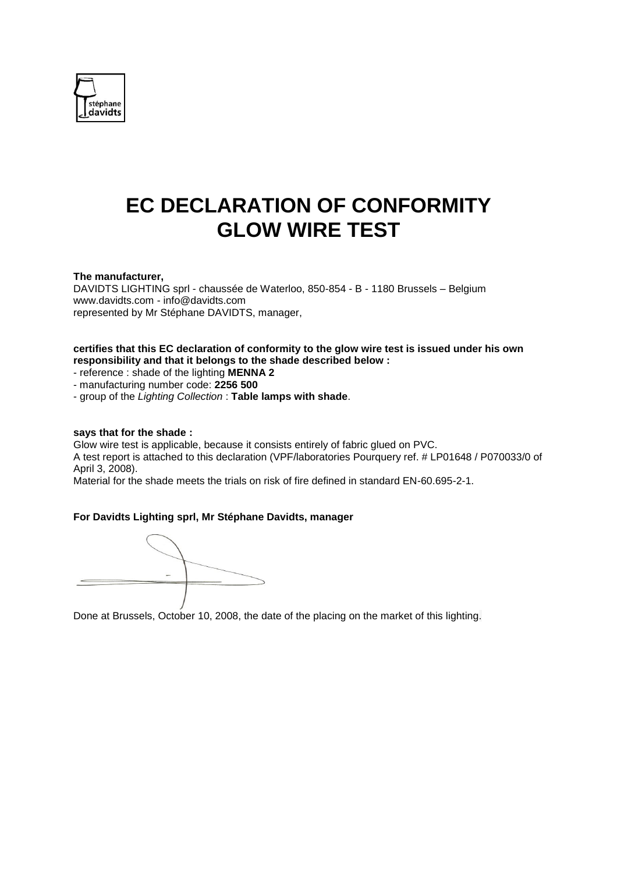

# **EC DECLARATION OF CONFORMITY GLOW WIRE TEST**

#### **The manufacturer,**

DAVIDTS LIGHTING sprl - chaussée de Waterloo, 850-854 - B - 1180 Brussels – Belgium www.davidts.com - [info@davidts.com](mailto:info@davidts.com) represented by Mr Stéphane DAVIDTS, manager,

#### **certifies that this EC declaration of conformity to the glow wire test is issued under his own responsibility and that it belongs to the shade described below :**

- reference : shade of the lighting **MENNA 2**

- manufacturing number code: **2256 500**

- group of the *Lighting Collection* : **Table lamps with shade**.

#### **says that for the shade :**

Glow wire test is applicable, because it consists entirely of fabric glued on PVC. A test report is attached to this declaration (VPF/laboratories Pourquery ref. # LP01648 / P070033/0 of April 3, 2008).

Material for the shade meets the trials on risk of fire defined in standard EN-60.695-2-1.

#### **For Davidts Lighting sprl, Mr Stéphane Davidts, manager**

Done at Brussels, October 10, 2008, the date of the placing on the market of this lighting.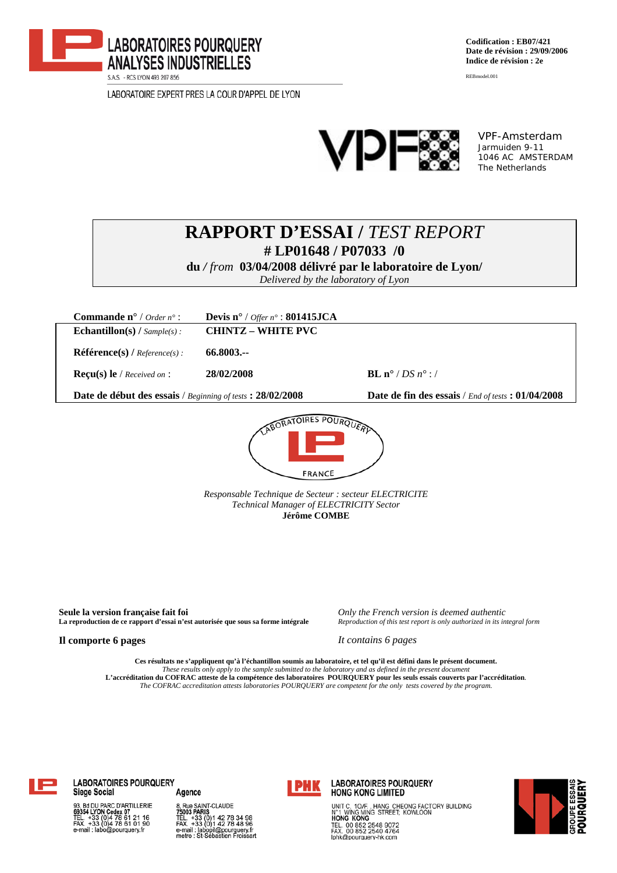

LABORATOIRE EXPERT PRES LA COUR D'APPEL DE LYON

**Codification : EB07/421 Date de révision : 29/09/2006 Indice de révision : 2e** 

REBmodel.001



VPF-Amsterdam Jarmuiden 9-11 1046 AC AMSTERDAM The Netherlands

# **RAPPORT D'ESSAI /** *TEST REPORT*  **# LP01648 / P07033 /0**

**du** */ from* **03/04/2008 délivré par le laboratoire de Lyon/** 

*Delivered by the laboratory of Lyon* 

| <b>Commande n°</b> / Order $n^{\circ}$ :                   | Devis n° / Offer n° : 801415JCA |                                                      |  |  |  |  |
|------------------------------------------------------------|---------------------------------|------------------------------------------------------|--|--|--|--|
| <b>Echantillon(s)</b> / $Sample(s)$ :                      | <b>CHINTZ - WHITE PVC</b>       |                                                      |  |  |  |  |
| $\mathbf{Référence(s)}$ / $Reference(s)$ :                 | 66.8003.--                      |                                                      |  |  |  |  |
| <b>Recu(s)</b> le / Received on :                          | 28/02/2008                      | <b>BL</b> n° / DS $n$ ° : /                          |  |  |  |  |
| Date de début des essais / Beginning of tests : 28/02/2008 |                                 | Date de fin des essais / End of tests : $01/04/2008$ |  |  |  |  |
| ABORATOIRES POURQUERD                                      |                                 |                                                      |  |  |  |  |



*Responsable Technique de Secteur : secteur ELECTRICITE Technical Manager of ELECTRICITY Sector*  **Jérôme COMBE** 

**Seule la version française fait foi** *Only the French version is deemed authentic*  **La reproduction de ce rapport d'essai n'est autorisée que sous sa forme intégrale** *Reproduction of this test report is only authorized in its integral form*

**Il comporte 6 pages** *It contains 6 pages*

Ces résultats ne s'appliquent qu'à l'échantillon soumis au laboratoire, et tel qu'il est défini dans le présent document.<br>These results only apply to the sample submitted to the laboratory and as defined in the present doc **L'accréditation du COFRAC atteste de la compétence des laboratoires POURQUERY pour les seuls essais couverts par l'accréditation***. The COFRAC accreditation attests laboratories POURQUERY are competent for the only tests covered by the program.*



**LABORATOIRES POURQUERY Siege Social** Agence

d DU PARC D'ARTILLERIE<br>4 LYON Cedex 07<br>+33 (0)4 78 61 21 16<br>+33 (0)4 78 61 01 90 o@pourquerv.f

8, Rue SAINT-CLAUDE<br>75003 PARIS TEL. +33 (0)1 42 78 34 98<br>FAX. +33 (0)1 42 78 48 96 e-mail : labopil@pourquery.fr<br>metro : St-Sébastien Froissart



**LABORATOIRES POURQUERY HONG KONG LIMITED** 

UNIT C. 10/F., HANG CHEONG FACTORY BUILDING<br>N°1 WING MING STREET; KOWLOON<br>**HONG KONG** TEL. 00 852 2548 9072<br>FAX. 00 852 2548 9072<br>Iphk@pourquery-hk.com

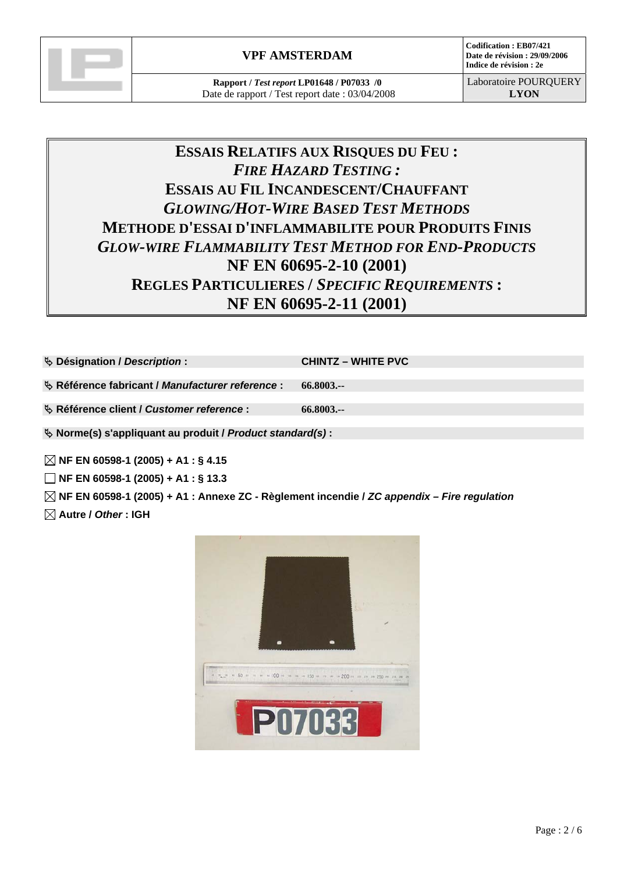

**Codification : EB07/421 Date de révision : 29/09/2006 Indice de révision : 2e** 

# **ESSAIS RELATIFS AUX RISQUES DU FEU :**  *FIRE HAZARD TESTING :*  **ESSAIS AU FIL INCANDESCENT/CHAUFFANT** *GLOWING/HOT-WIRE BASED TEST METHODS* **METHODE D'ESSAI D'INFLAMMABILITE POUR PRODUITS FINIS** *GLOW-WIRE FLAMMABILITY TEST METHOD FOR END-PRODUCTS* **NF EN 60695-2-10 (2001) REGLES PARTICULIERES /** *SPECIFIC REQUIREMENTS* **: NF EN 60695-2-11 (2001)**

| <b>↓ Désignation / Description:</b>                          | <b>CHINTZ – WHITE PVC</b> |  |  |  |  |
|--------------------------------------------------------------|---------------------------|--|--|--|--|
| § Référence fabricant / Manufacturer reference :             | 66.8003.--                |  |  |  |  |
| § Référence client / Customer reference :                    | 66.8003                   |  |  |  |  |
| $\&$ Norme(s) s'appliquant au produit / Product standard(s): |                           |  |  |  |  |

 **NF EN 60598-1 (2005) + A1 : § 4.15** 

 **NF EN 60598-1 (2005) + A1 : § 13.3** 

 **NF EN 60598-1 (2005) + A1 : Annexe ZC - Règlement incendie /** *ZC appendix – Fire regulation* 

 **Autre /** *Other* **: IGH** 

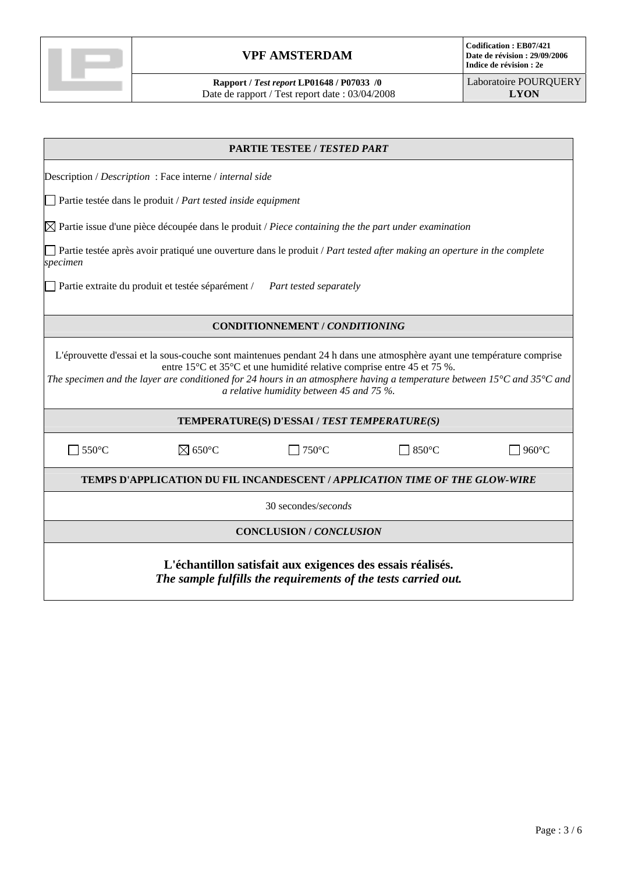

**Rapport /** *Test report* **LP01648 / P07033 /0**  Date de rapport / Test report date : 03/04/2008

| <b>PARTIE TESTEE / TESTED PART</b>                                                                                                                                                                                                                                                                                                                                                                                          |                                                                                                                 |                                |              |                 |  |  |
|-----------------------------------------------------------------------------------------------------------------------------------------------------------------------------------------------------------------------------------------------------------------------------------------------------------------------------------------------------------------------------------------------------------------------------|-----------------------------------------------------------------------------------------------------------------|--------------------------------|--------------|-----------------|--|--|
| Description / Description : Face interne / internal side                                                                                                                                                                                                                                                                                                                                                                    |                                                                                                                 |                                |              |                 |  |  |
|                                                                                                                                                                                                                                                                                                                                                                                                                             | Partie testée dans le produit / Part tested inside equipment                                                    |                                |              |                 |  |  |
|                                                                                                                                                                                                                                                                                                                                                                                                                             | $\boxtimes$ Partie issue d'une pièce découpée dans le produit / Piece containing the the part under examination |                                |              |                 |  |  |
| Partie testée après avoir pratiqué une ouverture dans le produit / Part tested after making an operture in the complete<br>specimen                                                                                                                                                                                                                                                                                         |                                                                                                                 |                                |              |                 |  |  |
| Partie extraite du produit et testée séparément /<br>Part tested separately                                                                                                                                                                                                                                                                                                                                                 |                                                                                                                 |                                |              |                 |  |  |
|                                                                                                                                                                                                                                                                                                                                                                                                                             |                                                                                                                 | CONDITIONNEMENT / CONDITIONING |              |                 |  |  |
| L'éprouvette d'essai et la sous-couche sont maintenues pendant 24 h dans une atmosphère ayant une température comprise<br>entre 15 <sup>°</sup> C et 35 <sup>°</sup> C et une humidité relative comprise entre 45 et 75 %.<br>The specimen and the layer are conditioned for 24 hours in an atmosphere having a temperature between 15 $^{\circ}$ C and 35 $^{\circ}$ C and<br>a relative humidity between 45 and 75 $\%$ . |                                                                                                                 |                                |              |                 |  |  |
| TEMPERATURE(S) D'ESSAI / TEST TEMPERATURE(S)                                                                                                                                                                                                                                                                                                                                                                                |                                                                                                                 |                                |              |                 |  |  |
| $\exists$ 550°C                                                                                                                                                                                                                                                                                                                                                                                                             | $\boxtimes$ 650°C                                                                                               | $750^{\circ}$ C                | $\Box$ 850°C | $960^{\circ}$ C |  |  |
| <b>TEMPS D'APPLICATION DU FIL INCANDESCENT / APPLICATION TIME OF THE GLOW-WIRE</b>                                                                                                                                                                                                                                                                                                                                          |                                                                                                                 |                                |              |                 |  |  |
| 30 secondes/seconds                                                                                                                                                                                                                                                                                                                                                                                                         |                                                                                                                 |                                |              |                 |  |  |
| <b>CONCLUSION / CONCLUSION</b>                                                                                                                                                                                                                                                                                                                                                                                              |                                                                                                                 |                                |              |                 |  |  |
| L'échantillon satisfait aux exigences des essais réalisés.<br>The sample fulfills the requirements of the tests carried out.                                                                                                                                                                                                                                                                                                |                                                                                                                 |                                |              |                 |  |  |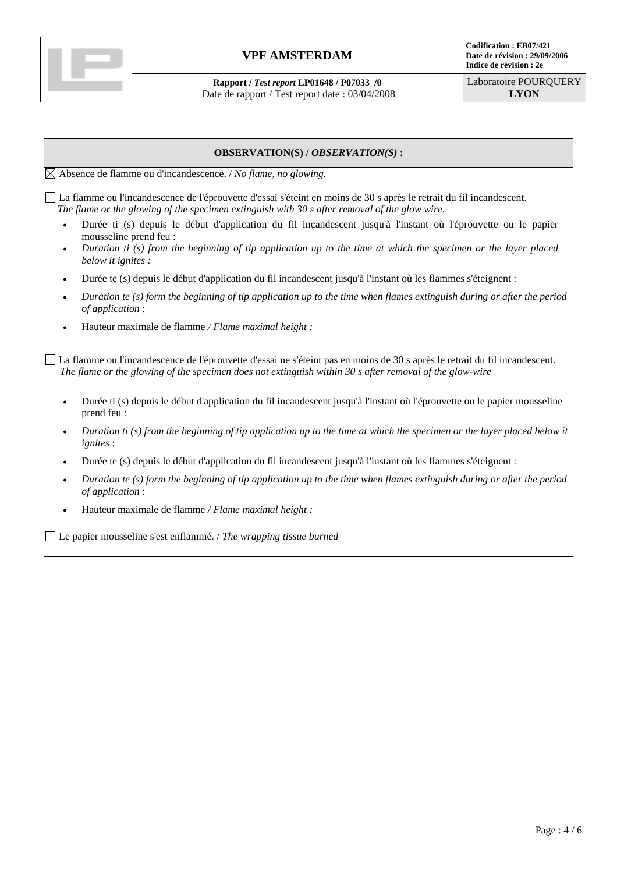

**Rapport /** *Test report* **LP01648 / P07033 /0**  Date de rapport / Test report date : 03/04/2008

# **OBSERVATION(S) /** *OBSERVATION(S)* **:**  Absence de flamme ou d'incandescence. / *No flame, no glowing.*  La flamme ou l'incandescence de l'éprouvette d'essai s'éteint en moins de 30 s après le retrait du fil incandescent. *The flame or the glowing of the specimen extinguish with 30 s after removal of the glow wire.* • Durée ti (s) depuis le début d'application du fil incandescent jusqu'à l'instant où l'éprouvette ou le papier mousseline prend feu : • *Duration ti (s) from the beginning of tip application up to the time at which the specimen or the layer placed below it ignites :*  • Durée te (s) depuis le début d'application du fil incandescent jusqu'à l'instant où les flammes s'éteignent : • *Duration te (s) form the beginning of tip application up to the time when flames extinguish during or after the period of application* : • Hauteur maximale de flamme */ Flame maximal height :*  La flamme ou l'incandescence de l'éprouvette d'essai ne s'éteint pas en moins de 30 s après le retrait du fil incandescent. *The flame or the glowing of the specimen does not extinguish within 30 s after removal of the glow-wire*  • Durée ti (s) depuis le début d'application du fil incandescent jusqu'à l'instant où l'éprouvette ou le papier mousseline prend feu : • *Duration ti (s) from the beginning of tip application up to the time at which the specimen or the layer placed below it ignites* : • Durée te (s) depuis le début d'application du fil incandescent jusqu'à l'instant où les flammes s'éteignent : • *Duration te (s) form the beginning of tip application up to the time when flames extinguish during or after the period of application* : • Hauteur maximale de flamme */ Flame maximal height :*

Le papier mousseline s'est enflammé. / *The wrapping tissue burned*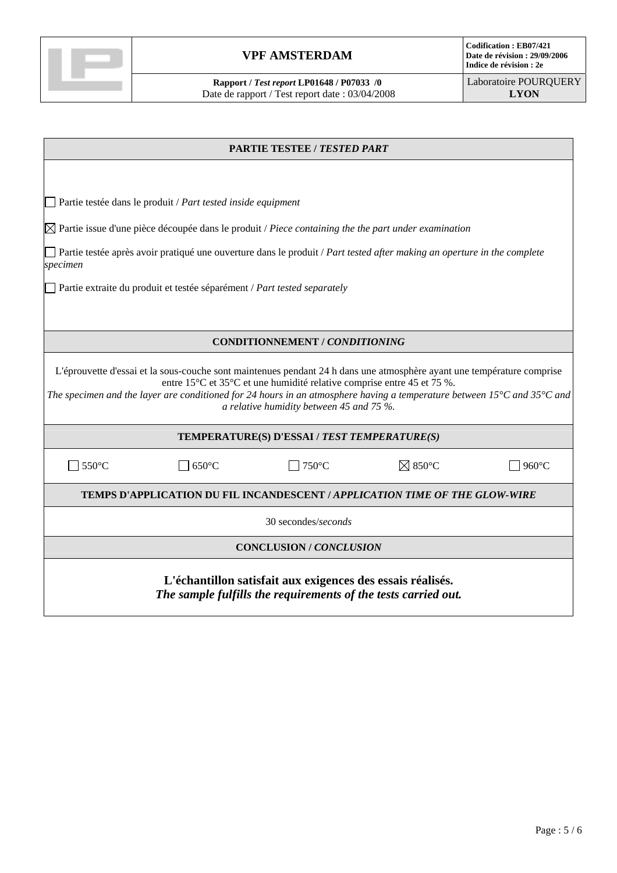

**Rapport /** *Test report* **LP01648 / P07033 /0**  Date de rapport / Test report date : 03/04/2008

| <b>PARTIE TESTEE / TESTED PART</b>                                                                                                                                                                                                                                                                                                                                                            |                                       |                   |       |  |  |  |
|-----------------------------------------------------------------------------------------------------------------------------------------------------------------------------------------------------------------------------------------------------------------------------------------------------------------------------------------------------------------------------------------------|---------------------------------------|-------------------|-------|--|--|--|
|                                                                                                                                                                                                                                                                                                                                                                                               |                                       |                   |       |  |  |  |
| Partie testée dans le produit / Part tested inside equipment                                                                                                                                                                                                                                                                                                                                  |                                       |                   |       |  |  |  |
| $\boxtimes$ Partie issue d'une pièce découpée dans le produit / Piece containing the the part under examination                                                                                                                                                                                                                                                                               |                                       |                   |       |  |  |  |
| Partie testée après avoir pratiqué une ouverture dans le produit / Part tested after making an operture in the complete<br>specimen                                                                                                                                                                                                                                                           |                                       |                   |       |  |  |  |
| Partie extraite du produit et testée séparément / Part tested separately                                                                                                                                                                                                                                                                                                                      |                                       |                   |       |  |  |  |
|                                                                                                                                                                                                                                                                                                                                                                                               |                                       |                   |       |  |  |  |
|                                                                                                                                                                                                                                                                                                                                                                                               | <b>CONDITIONNEMENT / CONDITIONING</b> |                   |       |  |  |  |
| L'éprouvette d'essai et la sous-couche sont maintenues pendant 24 h dans une atmosphère ayant une température comprise<br>entre 15°C et 35°C et une humidité relative comprise entre 45 et 75 %.<br>The specimen and the layer are conditioned for 24 hours in an atmosphere having a temperature between 15 $^{\circ}$ C and 35 $^{\circ}$ C and<br>a relative humidity between 45 and 75 %. |                                       |                   |       |  |  |  |
| TEMPERATURE(S) D'ESSAI / TEST TEMPERATURE(S)                                                                                                                                                                                                                                                                                                                                                  |                                       |                   |       |  |  |  |
| 550°C<br>$650^{\circ}$ C                                                                                                                                                                                                                                                                                                                                                                      | 750°C                                 | $\boxtimes$ 850°C | 960°C |  |  |  |
| <b>TEMPS D'APPLICATION DU FIL INCANDESCENT / APPLICATION TIME OF THE GLOW-WIRE</b>                                                                                                                                                                                                                                                                                                            |                                       |                   |       |  |  |  |
| 30 secondes/seconds                                                                                                                                                                                                                                                                                                                                                                           |                                       |                   |       |  |  |  |
| <b>CONCLUSION / CONCLUSION</b>                                                                                                                                                                                                                                                                                                                                                                |                                       |                   |       |  |  |  |
| L'échantillon satisfait aux exigences des essais réalisés.<br>The sample fulfills the requirements of the tests carried out.                                                                                                                                                                                                                                                                  |                                       |                   |       |  |  |  |